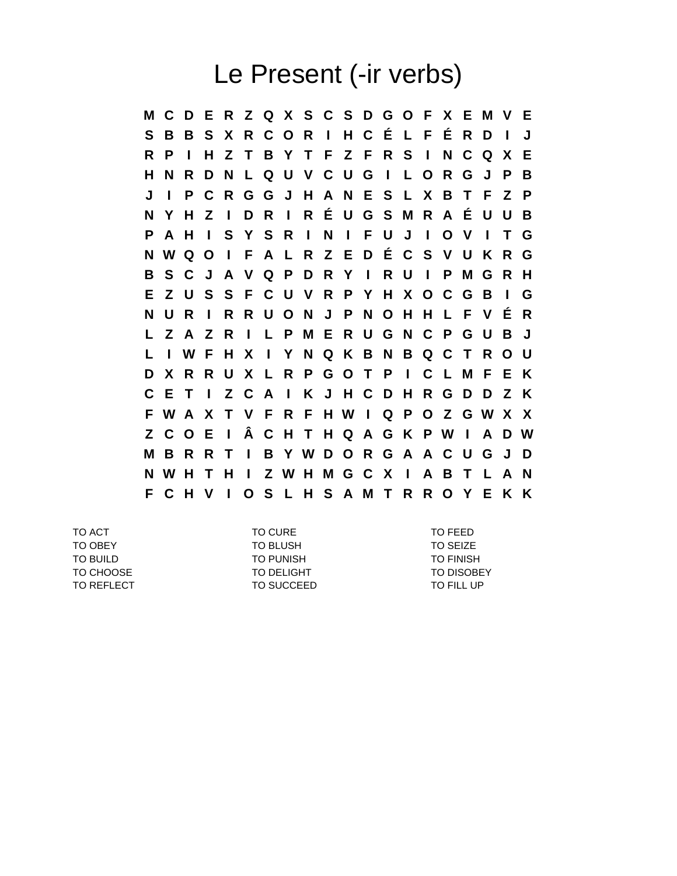## Le Present (-ir verbs)

**M C D E R Z Q X S C S D G O F X E M V E S B B S X R C O R I H C É L F É R D I J R P I H Z T B Y T F Z F R S I N C Q X E H N R D N L Q U V C U G I L O R G J P B J I P C R G G J H A N E S L X B T F Z P N Y H Z I D R I R É U G S M R A É U U B P A H I S Y S R I N I F U J I O V I T G N W Q O I F A L R Z E D É C S V U K R G B S C J A V Q P D R Y I R U I P M G R H E Z U S S F C U V R P Y H X O C G B I G N U R I R R U O N J P N O H H L F V É R L Z A Z R I L P M E R U G N C P G U B J L I W F H X I Y N Q K B N B Q C T R O U D X R R U X L R P G O T P I C L M F E K C E T I Z C A I K J H C D H R G D D Z K F W A X T V F R F H W I Q P O Z G W X X Z C O E I Â C H T H Q A G K P W I A D W M B R R T I B Y W D O R G A A C U G J D N W H T H I Z W H M G C X I A B T L A N F C H V I O S L H S A M T R R O Y E K K**

TO ACT TO CURE TO FEED TO OBEY **TO BLUSH** TO BLUSH TO SEIZE TO BUILD **TO PUNISH TO PUNISH** TO PUNISH TO FINISH TO CHOOSE TO DELIGHT TO DELIGHT TO DISOBEY TO REFLECT TO SUCCEED TO SUCCED TO FILL UP